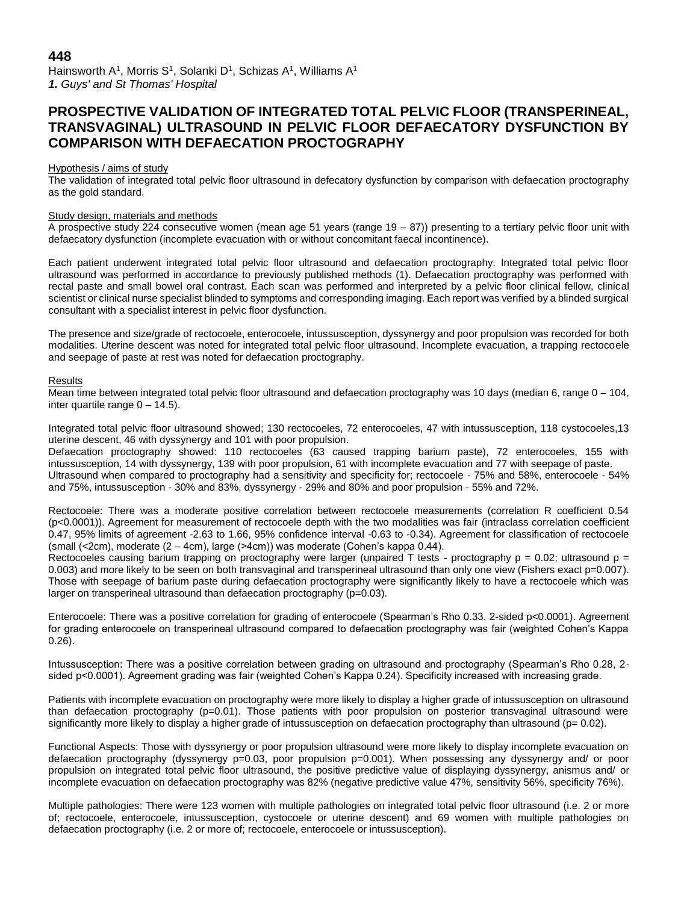# **448**

Hainsworth A<sup>1</sup>, Morris S<sup>1</sup>, Solanki D<sup>1</sup>, Schizas A<sup>1</sup>, Williams A<sup>1</sup> *1. Guys' and St Thomas' Hospital*

# **PROSPECTIVE VALIDATION OF INTEGRATED TOTAL PELVIC FLOOR (TRANSPERINEAL, TRANSVAGINAL) ULTRASOUND IN PELVIC FLOOR DEFAECATORY DYSFUNCTION BY COMPARISON WITH DEFAECATION PROCTOGRAPHY**

### Hypothesis / aims of study

The validation of integrated total pelvic floor ultrasound in defecatory dysfunction by comparison with defaecation proctography as the gold standard.

#### Study design, materials and methods

A prospective study 224 consecutive women (mean age 51 years (range 19 – 87)) presenting to a tertiary pelvic floor unit with defaecatory dysfunction (incomplete evacuation with or without concomitant faecal incontinence).

Each patient underwent integrated total pelvic floor ultrasound and defaecation proctography. Integrated total pelvic floor ultrasound was performed in accordance to previously published methods (1). Defaecation proctography was performed with rectal paste and small bowel oral contrast. Each scan was performed and interpreted by a pelvic floor clinical fellow, clinical scientist or clinical nurse specialist blinded to symptoms and corresponding imaging. Each report was verified by a blinded surgical consultant with a specialist interest in pelvic floor dysfunction.

The presence and size/grade of rectocoele, enterocoele, intussusception, dyssynergy and poor propulsion was recorded for both modalities. Uterine descent was noted for integrated total pelvic floor ultrasound. Incomplete evacuation, a trapping rectocoele and seepage of paste at rest was noted for defaecation proctography.

#### Results

Mean time between integrated total pelvic floor ultrasound and defaecation proctography was 10 days (median 6, range  $0 - 104$ , inter quartile range  $0 - 14.5$ ).

Integrated total pelvic floor ultrasound showed; 130 rectocoeles, 72 enterocoeles, 47 with intussusception, 118 cystocoeles,13 uterine descent, 46 with dyssynergy and 101 with poor propulsion.

Defaecation proctography showed: 110 rectocoeles (63 caused trapping barium paste), 72 enterocoeles, 155 with intussusception, 14 with dyssynergy, 139 with poor propulsion, 61 with incomplete evacuation and 77 with seepage of paste. Ultrasound when compared to proctography had a sensitivity and specificity for; rectocoele - 75% and 58%, enterocoele - 54% and 75%, intussusception - 30% and 83%, dyssynergy - 29% and 80% and poor propulsion - 55% and 72%.

Rectocoele: There was a moderate positive correlation between rectocoele measurements (correlation R coefficient 0.54 (p<0.0001)). Agreement for measurement of rectocoele depth with the two modalities was fair (intraclass correlation coefficient 0.47, 95% limits of agreement -2.63 to 1.66, 95% confidence interval -0.63 to -0.34). Agreement for classification of rectocoele (small (<2cm), moderate (2 – 4cm), large (>4cm)) was moderate (Cohen's kappa 0.44).

Rectocoeles causing barium trapping on proctography were larger (unpaired T tests - proctography  $p = 0.02$ ; ultrasound  $p =$ 0.003) and more likely to be seen on both transvaginal and transperineal ultrasound than only one view (Fishers exact p=0.007). Those with seepage of barium paste during defaecation proctography were significantly likely to have a rectocoele which was larger on transperineal ultrasound than defaecation proctography (p=0.03).

Enterocoele: There was a positive correlation for grading of enterocoele (Spearman's Rho 0.33, 2-sided p<0.0001). Agreement for grading enterocoele on transperineal ultrasound compared to defaecation proctography was fair (weighted Cohen's Kappa 0.26).

Intussusception: There was a positive correlation between grading on ultrasound and proctography (Spearman's Rho 0.28, 2 sided p<0.0001). Agreement grading was fair (weighted Cohen's Kappa 0.24). Specificity increased with increasing grade.

Patients with incomplete evacuation on proctography were more likely to display a higher grade of intussusception on ultrasound than defaecation proctography (p=0.01). Those patients with poor propulsion on posterior transvaginal ultrasound were significantly more likely to display a higher grade of intussusception on defaecation proctography than ultrasound (p= 0.02).

Functional Aspects: Those with dyssynergy or poor propulsion ultrasound were more likely to display incomplete evacuation on defaecation proctography (dyssynergy p=0.03, poor propulsion p=0.001). When possessing any dyssynergy and/ or poor propulsion on integrated total pelvic floor ultrasound, the positive predictive value of displaying dyssynergy, anismus and/ or incomplete evacuation on defaecation proctography was 82% (negative predictive value 47%, sensitivity 56%, specificity 76%).

Multiple pathologies: There were 123 women with multiple pathologies on integrated total pelvic floor ultrasound (i.e. 2 or more of; rectocoele, enterocoele, intussusception, cystocoele or uterine descent) and 69 women with multiple pathologies on defaecation proctography (i.e. 2 or more of; rectocoele, enterocoele or intussusception).